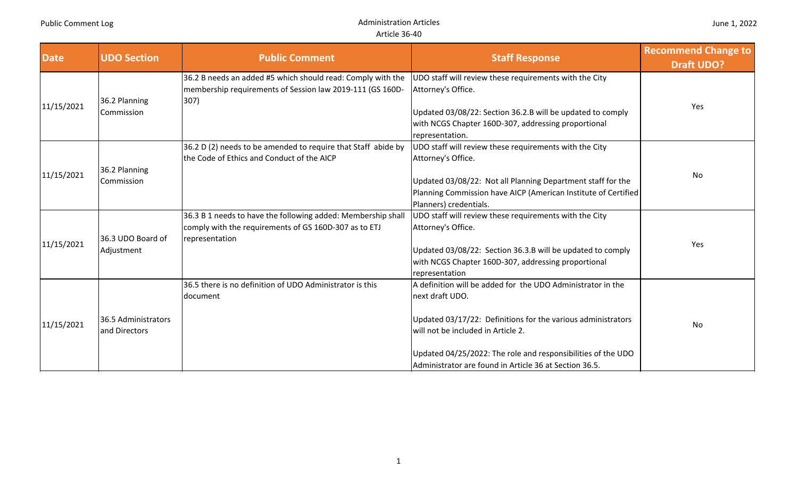| <b>Date</b> | <b>UDO Section</b>                   | <b>Public Comment</b>                                                                                                                  | <b>Staff Response</b>                                                                                                                                   | <b>Recommend Change to</b><br><b>Draft UDO?</b> |
|-------------|--------------------------------------|----------------------------------------------------------------------------------------------------------------------------------------|---------------------------------------------------------------------------------------------------------------------------------------------------------|-------------------------------------------------|
|             | 36.2 Planning                        | 36.2 B needs an added #5 which should read: Comply with the<br>membership requirements of Session law 2019-111 (GS 160D-<br>307)       | UDO staff will review these requirements with the City<br>Attorney's Office.                                                                            |                                                 |
| 11/15/2021  | Commission                           |                                                                                                                                        | Updated 03/08/22: Section 36.2.B will be updated to comply<br>with NCGS Chapter 160D-307, addressing proportional<br>representation.                    | Yes                                             |
|             | 36.2 Planning                        | 36.2 D (2) needs to be amended to require that Staff abide by<br>the Code of Ethics and Conduct of the AICP                            | UDO staff will review these requirements with the City<br>Attorney's Office.                                                                            | No                                              |
| 11/15/2021  | Commission                           |                                                                                                                                        | Updated 03/08/22: Not all Planning Department staff for the<br>Planning Commission have AICP (American Institute of Certified<br>Planners) credentials. |                                                 |
| 11/15/2021  | 36.3 UDO Board of                    | 36.3 B 1 needs to have the following added: Membership shal<br>comply with the requirements of GS 160D-307 as to ETJ<br>representation | UDO staff will review these requirements with the City<br>Attorney's Office.                                                                            | Yes                                             |
|             | Adjustment                           |                                                                                                                                        | Updated 03/08/22: Section 36.3.B will be updated to comply<br>with NCGS Chapter 160D-307, addressing proportional<br>representation                     |                                                 |
|             |                                      | 36.5 there is no definition of UDO Administrator is this<br>document                                                                   | A definition will be added for the UDO Administrator in the<br>next draft UDO.                                                                          |                                                 |
| 11/15/2021  | 36.5 Administrators<br>and Directors |                                                                                                                                        | Updated 03/17/22: Definitions for the various administrators<br>will not be included in Article 2.                                                      | No                                              |
|             |                                      |                                                                                                                                        | Updated 04/25/2022: The role and responsibilities of the UDO<br>Administrator are found in Article 36 at Section 36.5.                                  |                                                 |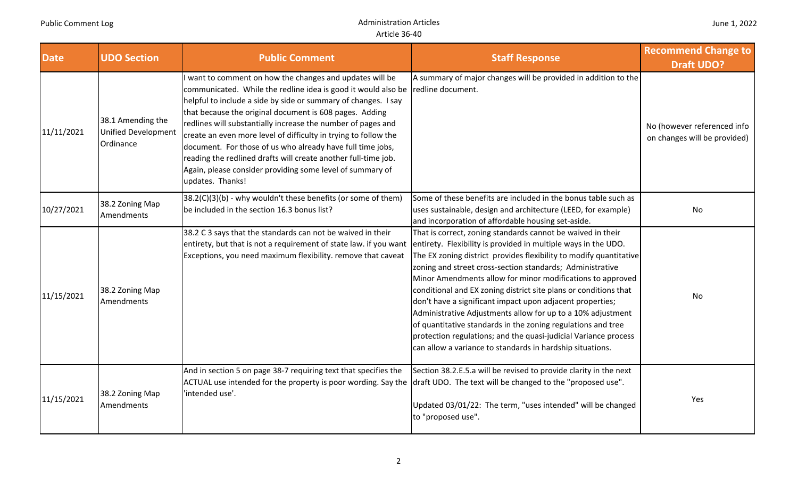| <b>Date</b> | <b>UDO Section</b>                                           | <b>Public Comment</b>                                                                                                                                                                                                                                                                                                                                                                                                                                                                                                                                                                                                              | <b>Staff Response</b>                                                                                                                                                                                                                                                                                                                                                                                                                                                                                                                                                                                                                                        | <b>Recommend Change to</b><br><b>Draft UDO?</b>             |
|-------------|--------------------------------------------------------------|------------------------------------------------------------------------------------------------------------------------------------------------------------------------------------------------------------------------------------------------------------------------------------------------------------------------------------------------------------------------------------------------------------------------------------------------------------------------------------------------------------------------------------------------------------------------------------------------------------------------------------|--------------------------------------------------------------------------------------------------------------------------------------------------------------------------------------------------------------------------------------------------------------------------------------------------------------------------------------------------------------------------------------------------------------------------------------------------------------------------------------------------------------------------------------------------------------------------------------------------------------------------------------------------------------|-------------------------------------------------------------|
| 11/11/2021  | 38.1 Amending the<br><b>Unified Development</b><br>Ordinance | want to comment on how the changes and updates will be<br>communicated. While the redline idea is good it would also be $\vert$ redline document.<br>helpful to include a side by side or summary of changes. I say<br>that because the original document is 608 pages. Adding<br>redlines will substantially increase the number of pages and<br>create an even more level of difficulty in trying to follow the<br>document. For those of us who already have full time jobs,<br>reading the redlined drafts will create another full-time job.<br>Again, please consider providing some level of summary of<br>updates. Thanks! | A summary of major changes will be provided in addition to the                                                                                                                                                                                                                                                                                                                                                                                                                                                                                                                                                                                               | No (however referenced info<br>on changes will be provided) |
| 10/27/2021  | 38.2 Zoning Map<br>Amendments                                | 38.2(C)(3)(b) - why wouldn't these benefits (or some of them)<br>be included in the section 16.3 bonus list?                                                                                                                                                                                                                                                                                                                                                                                                                                                                                                                       | Some of these benefits are included in the bonus table such as<br>uses sustainable, design and architecture (LEED, for example)<br>and incorporation of affordable housing set-aside.                                                                                                                                                                                                                                                                                                                                                                                                                                                                        | No                                                          |
| 11/15/2021  | 38.2 Zoning Map<br>Amendments                                | 38.2 C 3 says that the standards can not be waived in their<br>entirety, but that is not a requirement of state law. if you want entirety. Flexibility is provided in multiple ways in the UDO.<br>Exceptions, you need maximum flexibility. remove that caveat                                                                                                                                                                                                                                                                                                                                                                    | That is correct, zoning standards cannot be waived in their<br>The EX zoning district provides flexibility to modify quantitative<br>zoning and street cross-section standards; Administrative<br>Minor Amendments allow for minor modifications to approved<br>conditional and EX zoning district site plans or conditions that<br>don't have a significant impact upon adjacent properties;<br>Administrative Adjustments allow for up to a 10% adjustment<br>of quantitative standards in the zoning regulations and tree<br>protection regulations; and the quasi-judicial Variance process<br>can allow a variance to standards in hardship situations. | No                                                          |
| 11/15/2021  | 38.2 Zoning Map<br>Amendments                                | And in section 5 on page 38-7 requiring text that specifies the<br>ACTUAL use intended for the property is poor wording. Say the draft UDO. The text will be changed to the "proposed use".<br>'intended use'.                                                                                                                                                                                                                                                                                                                                                                                                                     | Section 38.2.E.5.a will be revised to provide clarity in the next<br>Updated 03/01/22: The term, "uses intended" will be changed<br>to "proposed use".                                                                                                                                                                                                                                                                                                                                                                                                                                                                                                       | Yes                                                         |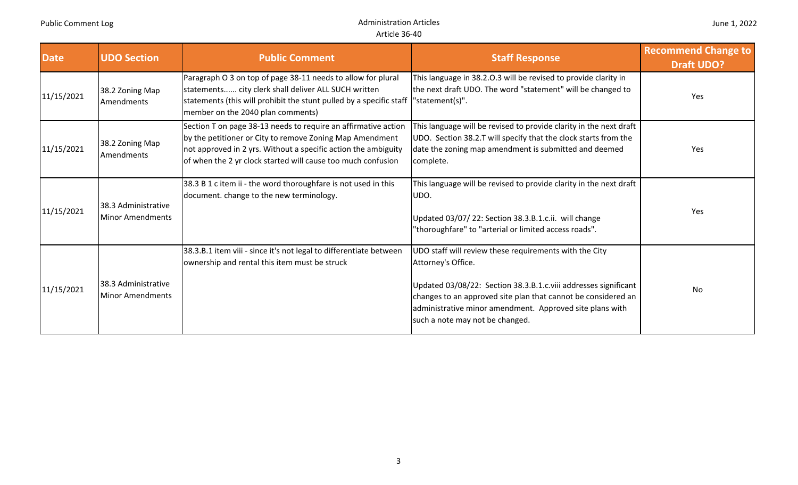| <b>Date</b> | <b>UDO Section</b>                      | <b>Public Comment</b>                                                                                                                                                                                                                                        | <b>Staff Response</b>                                                                                                                                                                                                                                                                                           | <b>Recommend Change to</b><br><b>Draft UDO?</b> |
|-------------|-----------------------------------------|--------------------------------------------------------------------------------------------------------------------------------------------------------------------------------------------------------------------------------------------------------------|-----------------------------------------------------------------------------------------------------------------------------------------------------------------------------------------------------------------------------------------------------------------------------------------------------------------|-------------------------------------------------|
| 11/15/2021  | 38.2 Zoning Map<br>Amendments           | Paragraph O 3 on top of page 38-11 needs to allow for plural<br>statements city clerk shall deliver ALL SUCH written<br>statements (this will prohibit the stunt pulled by a specific staff<br>member on the 2040 plan comments)                             | This language in 38.2.0.3 will be revised to provide clarity in<br>the next draft UDO. The word "statement" will be changed to<br>"statement(s)".                                                                                                                                                               | Yes                                             |
| 11/15/2021  | 38.2 Zoning Map<br>Amendments           | Section T on page 38-13 needs to require an affirmative action<br>by the petitioner or City to remove Zoning Map Amendment<br>not approved in 2 yrs. Without a specific action the ambiguity<br>of when the 2 yr clock started will cause too much confusion | This language will be revised to provide clarity in the next draft<br>UDO. Section 38.2.T will specify that the clock starts from the<br>date the zoning map amendment is submitted and deemed<br>complete.                                                                                                     | Yes                                             |
| 11/15/2021  | 38.3 Administrative<br>Minor Amendments | 38.3 B 1 c item ii - the word thoroughfare is not used in this<br>document. change to the new terminology.                                                                                                                                                   | This language will be revised to provide clarity in the next draft<br>UDO.<br>Updated 03/07/22: Section 38.3.B.1.c.ii. will change<br>"thoroughfare" to "arterial or limited access roads".                                                                                                                     | Yes                                             |
| 11/15/2021  | 38.3 Administrative<br>Minor Amendments | 38.3.B.1 item viii - since it's not legal to differentiate between<br>ownership and rental this item must be struck                                                                                                                                          | UDO staff will review these requirements with the City<br>Attorney's Office.<br>Updated 03/08/22: Section 38.3.B.1.c.viii addresses significant<br>changes to an approved site plan that cannot be considered an<br>administrative minor amendment. Approved site plans with<br>such a note may not be changed. | <b>No</b>                                       |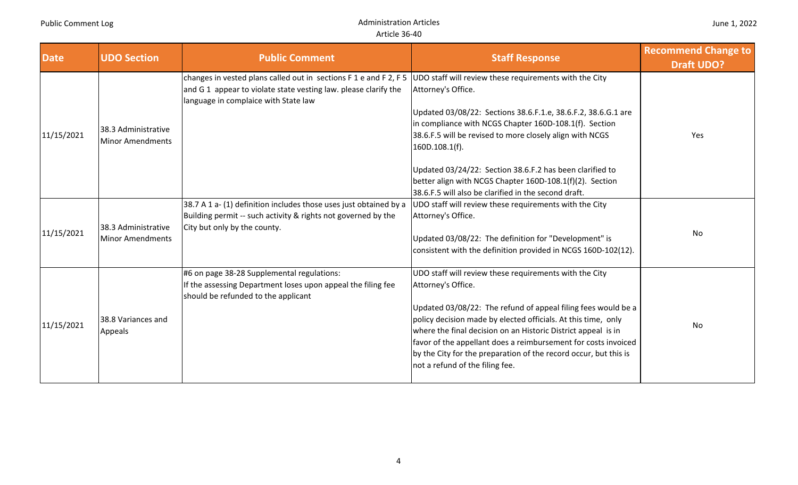| <b>Date</b> | <b>UDO Section</b>                             | <b>Public Comment</b>                                                                                                                                                        | <b>Staff Response</b>                                                                                                                                                                                                                                                                                                                                                                                                                                                    | <b>Recommend Change to</b><br><b>Draft UDO?</b> |
|-------------|------------------------------------------------|------------------------------------------------------------------------------------------------------------------------------------------------------------------------------|--------------------------------------------------------------------------------------------------------------------------------------------------------------------------------------------------------------------------------------------------------------------------------------------------------------------------------------------------------------------------------------------------------------------------------------------------------------------------|-------------------------------------------------|
| 11/15/2021  | 38.3 Administrative<br><b>Minor Amendments</b> | changes in vested plans called out in sections F 1 e and F 2, F 5<br>and G 1 appear to violate state vesting law. please clarify the<br>language in complaice with State law | UDO staff will review these requirements with the City<br>Attorney's Office.<br>Updated 03/08/22: Sections 38.6.F.1.e, 38.6.F.2, 38.6.G.1 are<br>in compliance with NCGS Chapter 160D-108.1(f). Section<br>38.6.F.5 will be revised to more closely align with NCGS<br>$160D.108.1(f)$ .<br>Updated 03/24/22: Section 38.6.F.2 has been clarified to<br>better align with NCGS Chapter 160D-108.1(f)(2). Section<br>38.6.F.5 will also be clarified in the second draft. | Yes                                             |
| 11/15/2021  | 38.3 Administrative<br><b>Minor Amendments</b> | 38.7 A 1 a- (1) definition includes those uses just obtained by a<br>Building permit -- such activity & rights not governed by the<br>City but only by the county.           | UDO staff will review these requirements with the City<br>Attorney's Office.<br>Updated 03/08/22: The definition for "Development" is<br>consistent with the definition provided in NCGS 160D-102(12).                                                                                                                                                                                                                                                                   | No                                              |
| 11/15/2021  | 38.8 Variances and<br>Appeals                  | #6 on page 38-28 Supplemental regulations:<br>If the assessing Department loses upon appeal the filing fee<br>should be refunded to the applicant                            | UDO staff will review these requirements with the City<br>Attorney's Office.<br>Updated 03/08/22: The refund of appeal filing fees would be a<br>policy decision made by elected officials. At this time, only<br>where the final decision on an Historic District appeal is in<br>favor of the appellant does a reimbursement for costs invoiced<br>by the City for the preparation of the record occur, but this is<br>not a refund of the filing fee.                 | No                                              |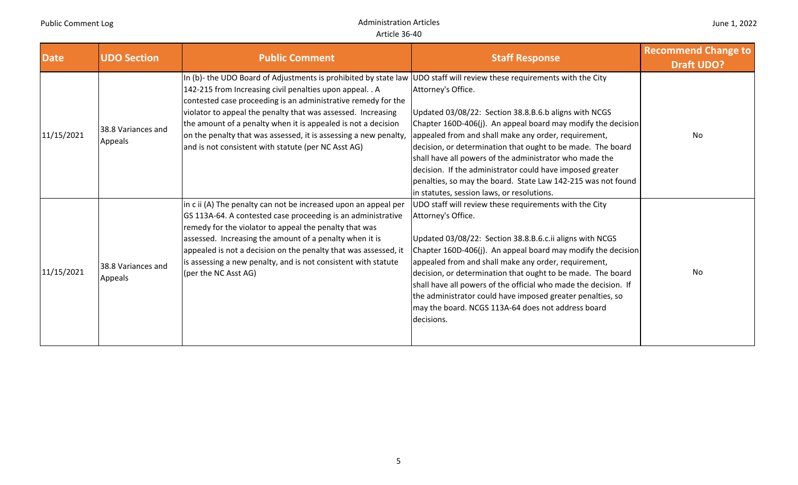| <b>Date</b> | <b>UDO Section</b>                   | <b>Public Comment</b>                                                                                                                                                                                                                                                                                                                                                                                                                                                                                           | <b>Staff Response</b>                                                                                                                                                                                                                                                                                                                                                                                                                                                                                                                | <b>Recommend Change to</b><br><b>Draft UDO?</b> |
|-------------|--------------------------------------|-----------------------------------------------------------------------------------------------------------------------------------------------------------------------------------------------------------------------------------------------------------------------------------------------------------------------------------------------------------------------------------------------------------------------------------------------------------------------------------------------------------------|--------------------------------------------------------------------------------------------------------------------------------------------------------------------------------------------------------------------------------------------------------------------------------------------------------------------------------------------------------------------------------------------------------------------------------------------------------------------------------------------------------------------------------------|-------------------------------------------------|
| 11/15/2021  | 38.8 Variances and<br>Appeals        | In (b)- the UDO Board of Adjustments is prohibited by state law UDO staff will review these requirements with the City<br>142-215 from Increasing civil penalties upon appeal. . A<br>contested case proceeding is an administrative remedy for the<br>violator to appeal the penalty that was assessed. Increasing<br>the amount of a penalty when it is appealed is not a decision<br>on the penalty that was assessed, it is assessing a new penalty,<br>and is not consistent with statute (per NC Asst AG) | Attorney's Office.<br>Updated 03/08/22: Section 38.8.B.6.b aligns with NCGS<br>Chapter 160D-406(j). An appeal board may modify the decision<br>appealed from and shall make any order, requirement,<br>decision, or determination that ought to be made. The board<br>shall have all powers of the administrator who made the<br>decision. If the administrator could have imposed greater<br>penalties, so may the board. State Law 142-215 was not found<br>in statutes, session laws, or resolutions.                             | No                                              |
| 11/15/2021  | 38.8 Variances and<br><b>Appeals</b> | in c ii (A) The penalty can not be increased upon an appeal per<br>GS 113A-64. A contested case proceeding is an administrative<br>remedy for the violator to appeal the penalty that was<br>assessed. Increasing the amount of a penalty when it is<br>appealed is not a decision on the penalty that was assessed, it<br>is assessing a new penalty, and is not consistent with statute<br>(per the NC Asst AG)                                                                                               | UDO staff will review these requirements with the City<br>Attorney's Office.<br>Updated 03/08/22: Section 38.8.B.6.c.ii aligns with NCGS<br>Chapter 160D-406(j). An appeal board may modify the decision<br>appealed from and shall make any order, requirement,<br>decision, or determination that ought to be made. The board<br>shall have all powers of the official who made the decision. If<br>the administrator could have imposed greater penalties, so<br>may the board. NCGS 113A-64 does not address board<br>decisions. | No                                              |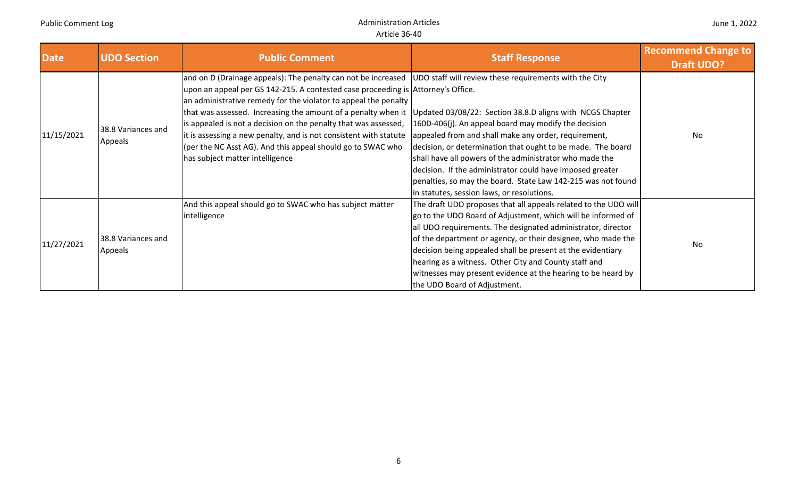| <b>Date</b> | <b>UDO Section</b>            | <b>Public Comment</b>                                                                                                                                                                                                                                                                                                                                                                                                                                                                                                                                                                                                                                | <b>Staff Response</b>                                                                                                                                                                                                                                                                                                                                                                                                                                                                   | <b>Recommend Change to</b><br><b>Draft UDO?</b> |
|-------------|-------------------------------|------------------------------------------------------------------------------------------------------------------------------------------------------------------------------------------------------------------------------------------------------------------------------------------------------------------------------------------------------------------------------------------------------------------------------------------------------------------------------------------------------------------------------------------------------------------------------------------------------------------------------------------------------|-----------------------------------------------------------------------------------------------------------------------------------------------------------------------------------------------------------------------------------------------------------------------------------------------------------------------------------------------------------------------------------------------------------------------------------------------------------------------------------------|-------------------------------------------------|
| 11/15/2021  | 38.8 Variances and<br>Appeals | and on D (Drainage appeals): The penalty can not be increased   UDO staff will review these requirements with the City<br>upon an appeal per GS 142-215. A contested case proceeding is Attorney's Office.<br>an administrative remedy for the violator to appeal the penalty<br>that was assessed. Increasing the amount of a penalty when it   Updated 03/08/22: Section 38.8.D aligns with NCGS Chapter<br>is appealed is not a decision on the penalty that was assessed,<br>it is assessing a new penalty, and is not consistent with statute<br>(per the NC Asst AG). And this appeal should go to SWAC who<br>has subject matter intelligence | 160D-406(j). An appeal board may modify the decision<br>appealed from and shall make any order, requirement,<br>decision, or determination that ought to be made. The board<br>shall have all powers of the administrator who made the<br>decision. If the administrator could have imposed greater<br>penalties, so may the board. State Law 142-215 was not found<br>in statutes, session laws, or resolutions.                                                                       | No                                              |
| 11/27/2021  | 38.8 Variances and<br>Appeals | And this appeal should go to SWAC who has subject matter<br>intelligence                                                                                                                                                                                                                                                                                                                                                                                                                                                                                                                                                                             | The draft UDO proposes that all appeals related to the UDO will<br>go to the UDO Board of Adjustment, which will be informed of<br>all UDO requirements. The designated administrator, director<br>of the department or agency, or their designee, who made the<br>decision being appealed shall be present at the evidentiary<br>hearing as a witness. Other City and County staff and<br>witnesses may present evidence at the hearing to be heard by<br>the UDO Board of Adjustment. | <b>No</b>                                       |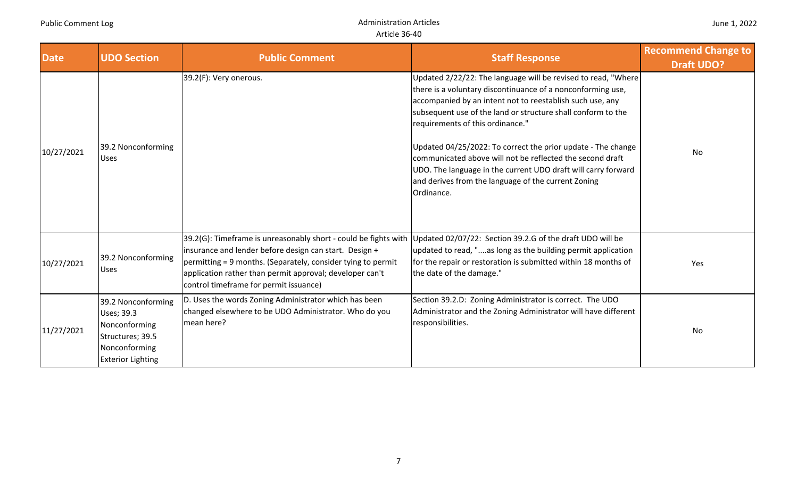| <b>Date</b> | <b>UDO Section</b>                                                                                                 | <b>Public Comment</b>                                                                                                                                                                                                                                                                           | <b>Staff Response</b>                                                                                                                                                                                                                                                                                                                                                                                                                                                                                                                                            | <b>Recommend Change to</b><br><b>Draft UDO?</b> |
|-------------|--------------------------------------------------------------------------------------------------------------------|-------------------------------------------------------------------------------------------------------------------------------------------------------------------------------------------------------------------------------------------------------------------------------------------------|------------------------------------------------------------------------------------------------------------------------------------------------------------------------------------------------------------------------------------------------------------------------------------------------------------------------------------------------------------------------------------------------------------------------------------------------------------------------------------------------------------------------------------------------------------------|-------------------------------------------------|
| 10/27/2021  | 39.2 Nonconforming<br><b>Uses</b>                                                                                  | 39.2(F): Very onerous.                                                                                                                                                                                                                                                                          | Updated 2/22/22: The language will be revised to read, "Where<br>there is a voluntary discontinuance of a nonconforming use,<br>accompanied by an intent not to reestablish such use, any<br>subsequent use of the land or structure shall conform to the<br>requirements of this ordinance."<br>Updated 04/25/2022: To correct the prior update - The change<br>communicated above will not be reflected the second draft<br>UDO. The language in the current UDO draft will carry forward<br>and derives from the language of the current Zoning<br>Ordinance. | No                                              |
| 10/27/2021  | 39.2 Nonconforming<br><b>Uses</b>                                                                                  | 39.2(G): Timeframe is unreasonably short - could be fights with<br>insurance and lender before design can start. Design +<br>permitting = 9 months. (Separately, consider tying to permit<br>application rather than permit approval; developer can't<br>control timeframe for permit issuance) | Updated 02/07/22: Section 39.2.G of the draft UDO will be<br>updated to read, "as long as the building permit application<br>for the repair or restoration is submitted within 18 months of<br>the date of the damage."                                                                                                                                                                                                                                                                                                                                          | Yes                                             |
| 11/27/2021  | 39.2 Nonconforming<br>Uses; 39.3<br>Nonconforming<br>Structures; 39.5<br>Nonconforming<br><b>Exterior Lighting</b> | D. Uses the words Zoning Administrator which has been<br>changed elsewhere to be UDO Administrator. Who do you<br>mean here?                                                                                                                                                                    | Section 39.2.D: Zoning Administrator is correct. The UDO<br>Administrator and the Zoning Administrator will have different<br>responsibilities.                                                                                                                                                                                                                                                                                                                                                                                                                  | No                                              |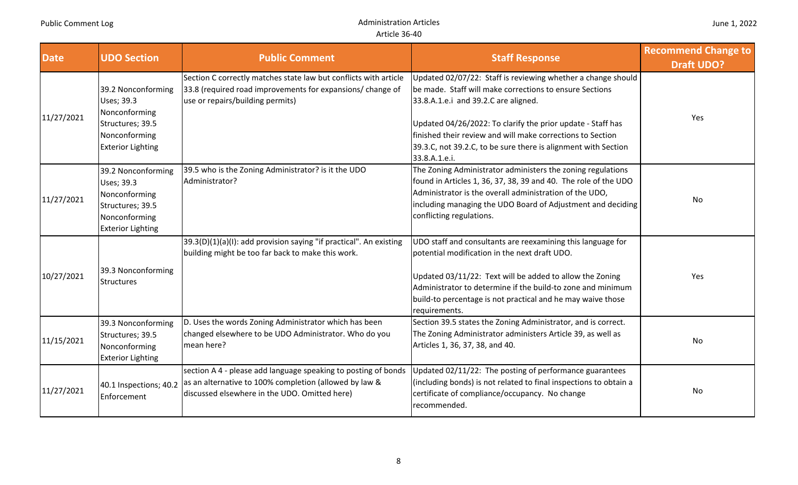| <b>Date</b> | <b>UDO Section</b>                                                                                                 | <b>Public Comment</b>                                                                                                                                                     | <b>Staff Response</b>                                                                                                                                                                                                                                                                                                                                                           | <b>Recommend Change to</b><br><b>Draft UDO?</b> |
|-------------|--------------------------------------------------------------------------------------------------------------------|---------------------------------------------------------------------------------------------------------------------------------------------------------------------------|---------------------------------------------------------------------------------------------------------------------------------------------------------------------------------------------------------------------------------------------------------------------------------------------------------------------------------------------------------------------------------|-------------------------------------------------|
| 11/27/2021  | 39.2 Nonconforming<br>Uses; 39.3<br>Nonconforming<br>Structures; 39.5<br>Nonconforming<br><b>Exterior Lighting</b> | Section C correctly matches state law but conflicts with article<br>33.8 (required road improvements for expansions/ change of<br>use or repairs/building permits)        | Updated 02/07/22: Staff is reviewing whether a change should<br>be made. Staff will make corrections to ensure Sections<br>33.8.A.1.e.i and 39.2.C are aligned.<br>Updated 04/26/2022: To clarify the prior update - Staff has<br>finished their review and will make corrections to Section<br>39.3.C, not 39.2.C, to be sure there is alignment with Section<br>33.8.A.1.e.i. | Yes                                             |
| 11/27/2021  | 39.2 Nonconforming<br>Uses; 39.3<br>Nonconforming<br>Structures; 39.5<br>Nonconforming<br><b>Exterior Lighting</b> | 39.5 who is the Zoning Administrator? is it the UDO<br>Administrator?                                                                                                     | The Zoning Administrator administers the zoning regulations<br>found in Articles 1, 36, 37, 38, 39 and 40. The role of the UDO<br>Administrator is the overall administration of the UDO,<br>including managing the UDO Board of Adjustment and deciding<br>conflicting regulations.                                                                                            | No                                              |
| 10/27/2021  | 39.3 Nonconforming<br><b>Structures</b>                                                                            | 39.3(D)(1)(a)(I): add provision saying "if practical". An existing<br>building might be too far back to make this work.                                                   | UDO staff and consultants are reexamining this language for<br>potential modification in the next draft UDO.<br>Updated 03/11/22: Text will be added to allow the Zoning<br>Administrator to determine if the build-to zone and minimum<br>build-to percentage is not practical and he may waive those<br>requirements.                                                         | Yes                                             |
| 11/15/2021  | 39.3 Nonconforming<br>Structures; 39.5<br>Nonconforming<br><b>Exterior Lighting</b>                                | D. Uses the words Zoning Administrator which has been<br>changed elsewhere to be UDO Administrator. Who do you<br>mean here?                                              | Section 39.5 states the Zoning Administrator, and is correct.<br>The Zoning Administrator administers Article 39, as well as<br>Articles 1, 36, 37, 38, and 40.                                                                                                                                                                                                                 | No                                              |
| 11/27/2021  | 40.1 Inspections; 40.2<br>Enforcement                                                                              | section A 4 - please add language speaking to posting of bonds<br>as an alternative to 100% completion (allowed by law &<br>discussed elsewhere in the UDO. Omitted here) | Updated 02/11/22: The posting of performance guarantees<br>(including bonds) is not related to final inspections to obtain a<br>certificate of compliance/occupancy. No change<br>recommended.                                                                                                                                                                                  | No                                              |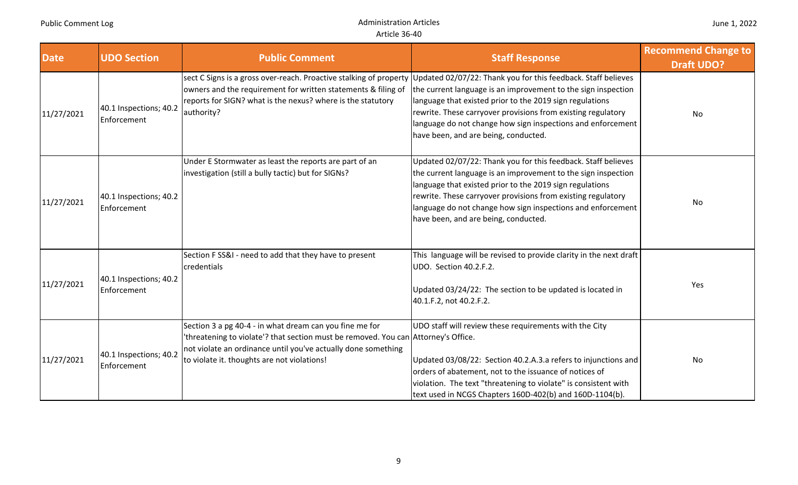| <b>Date</b> | <b>UDO Section</b>                    | <b>Public Comment</b>                                                                                                                                                                                                                                         | <b>Staff Response</b>                                                                                                                                                                                                                                                                                                                                             | <b>Recommend Change to</b><br><b>Draft UDO?</b> |
|-------------|---------------------------------------|---------------------------------------------------------------------------------------------------------------------------------------------------------------------------------------------------------------------------------------------------------------|-------------------------------------------------------------------------------------------------------------------------------------------------------------------------------------------------------------------------------------------------------------------------------------------------------------------------------------------------------------------|-------------------------------------------------|
| 11/27/2021  | 40.1 Inspections; 40.2<br>Enforcement | sect C Signs is a gross over-reach. Proactive stalking of property<br>owners and the requirement for written statements & filing of<br>reports for SIGN? what is the nexus? where is the statutory<br>authority?                                              | Updated 02/07/22: Thank you for this feedback. Staff believes<br>the current language is an improvement to the sign inspection<br>language that existed prior to the 2019 sign regulations<br>rewrite. These carryover provisions from existing regulatory<br>language do not change how sign inspections and enforcement<br>have been, and are being, conducted. | No                                              |
| 11/27/2021  | 40.1 Inspections; 40.2<br>Enforcement | Under E Stormwater as least the reports are part of an<br>investigation (still a bully tactic) but for SIGNs?                                                                                                                                                 | Updated 02/07/22: Thank you for this feedback. Staff believes<br>the current language is an improvement to the sign inspection<br>language that existed prior to the 2019 sign regulations<br>rewrite. These carryover provisions from existing regulatory<br>language do not change how sign inspections and enforcement<br>have been, and are being, conducted. | No                                              |
| 11/27/2021  | 40.1 Inspections; 40.2<br>Enforcement | Section FSS&I - need to add that they have to present<br>credentials                                                                                                                                                                                          | This language will be revised to provide clarity in the next draft<br>UDO. Section 40.2.F.2.<br>Updated 03/24/22: The section to be updated is located in<br>40.1.F.2, not 40.2.F.2.                                                                                                                                                                              | Yes                                             |
| 11/27/2021  | 40.1 Inspections; 40.2<br>Enforcement | Section 3 a pg 40-4 - in what dream can you fine me for<br>'threatening to violate'? that section must be removed. You can Attorney's Office.<br>not violate an ordinance until you've actually done something<br>to violate it. thoughts are not violations! | UDO staff will review these requirements with the City<br>Updated 03/08/22: Section 40.2.A.3.a refers to injunctions and<br>orders of abatement, not to the issuance of notices of<br>violation. The text "threatening to violate" is consistent with<br>text used in NCGS Chapters 160D-402(b) and 160D-1104(b).                                                 | No                                              |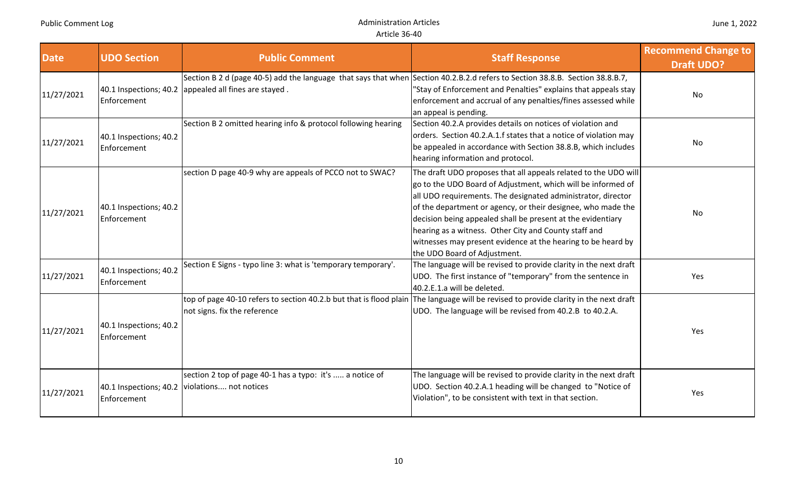| <b>Date</b> | <b>UDO Section</b>                    | <b>Public Comment</b>                                                                                                                                                                  | <b>Staff Response</b>                                                                                                                                                                                                                                                                                                                                                                                                                                                                   | <b>Recommend Change to</b><br><b>Draft UDO?</b> |
|-------------|---------------------------------------|----------------------------------------------------------------------------------------------------------------------------------------------------------------------------------------|-----------------------------------------------------------------------------------------------------------------------------------------------------------------------------------------------------------------------------------------------------------------------------------------------------------------------------------------------------------------------------------------------------------------------------------------------------------------------------------------|-------------------------------------------------|
| 11/27/2021  | Enforcement                           | Section B 2 d (page 40-5) add the language that says that when Section 40.2.B.2.d refers to Section 38.8.B. Section 38.8.B.7,<br>40.1 Inspections; 40.2 appealed all fines are stayed. | "Stay of Enforcement and Penalties" explains that appeals stay<br>enforcement and accrual of any penalties/fines assessed while<br>an appeal is pending.                                                                                                                                                                                                                                                                                                                                | No                                              |
| 11/27/2021  | 40.1 Inspections; 40.2<br>Enforcement | Section B 2 omitted hearing info & protocol following hearing                                                                                                                          | Section 40.2.A provides details on notices of violation and<br>orders. Section 40.2.A.1.f states that a notice of violation may<br>be appealed in accordance with Section 38.8.B, which includes<br>hearing information and protocol.                                                                                                                                                                                                                                                   | No                                              |
| 11/27/2021  | 40.1 Inspections; 40.2<br>Enforcement | section D page 40-9 why are appeals of PCCO not to SWAC?                                                                                                                               | The draft UDO proposes that all appeals related to the UDO will<br>go to the UDO Board of Adjustment, which will be informed of<br>all UDO requirements. The designated administrator, director<br>of the department or agency, or their designee, who made the<br>decision being appealed shall be present at the evidentiary<br>hearing as a witness. Other City and County staff and<br>witnesses may present evidence at the hearing to be heard by<br>the UDO Board of Adjustment. | No                                              |
| 11/27/2021  | 40.1 Inspections; 40.2<br>Enforcement | Section E Signs - typo line 3: what is 'temporary temporary'.                                                                                                                          | The language will be revised to provide clarity in the next draft<br>UDO. The first instance of "temporary" from the sentence in<br>40.2.E.1.a will be deleted.                                                                                                                                                                                                                                                                                                                         | Yes                                             |
| 11/27/2021  | 40.1 Inspections; 40.2<br>Enforcement | not signs. fix the reference                                                                                                                                                           | top of page 40-10 refers to section 40.2.b but that is flood plain The language will be revised to provide clarity in the next draft<br>UDO. The language will be revised from 40.2.B to 40.2.A.                                                                                                                                                                                                                                                                                        | Yes                                             |
| 11/27/2021  | Enforcement                           | section 2 top of page 40-1 has a typo: it's  a notice of<br>40.1 Inspections; 40.2   violations not notices                                                                            | The language will be revised to provide clarity in the next draft<br>UDO. Section 40.2.A.1 heading will be changed to "Notice of<br>Violation", to be consistent with text in that section.                                                                                                                                                                                                                                                                                             | Yes                                             |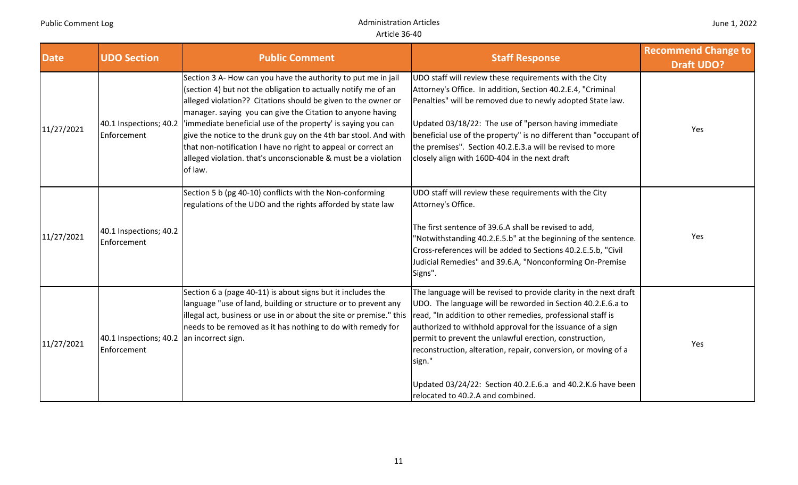| <b>Date</b> | <b>UDO Section</b>                    | <b>Public Comment</b>                                                                                                                                                                                                                                                                                                                                                                                                                                                                                                                           | <b>Staff Response</b>                                                                                                                                                                                                                                                                                                                                                                                                                                                                                   | <b>Recommend Change to</b><br><b>Draft UDO?</b> |
|-------------|---------------------------------------|-------------------------------------------------------------------------------------------------------------------------------------------------------------------------------------------------------------------------------------------------------------------------------------------------------------------------------------------------------------------------------------------------------------------------------------------------------------------------------------------------------------------------------------------------|---------------------------------------------------------------------------------------------------------------------------------------------------------------------------------------------------------------------------------------------------------------------------------------------------------------------------------------------------------------------------------------------------------------------------------------------------------------------------------------------------------|-------------------------------------------------|
| 11/27/2021  | 40.1 Inspections; 40.2<br>Enforcement | Section 3 A- How can you have the authority to put me in jail<br>(section 4) but not the obligation to actually notify me of an<br>alleged violation?? Citations should be given to the owner or<br>manager. saying you can give the Citation to anyone having<br>'immediate beneficial use of the property' is saying you can<br>give the notice to the drunk guy on the 4th bar stool. And with<br>that non-notification I have no right to appeal or correct an<br>alleged violation. that's unconscionable & must be a violation<br>of law. | UDO staff will review these requirements with the City<br>Attorney's Office. In addition, Section 40.2.E.4, "Criminal<br>Penalties" will be removed due to newly adopted State law.<br>Updated 03/18/22: The use of "person having immediate<br>beneficial use of the property" is no different than "occupant of<br>the premises". Section 40.2.E.3.a will be revised to more<br>closely align with 160D-404 in the next draft                                                                         | Yes                                             |
| 11/27/2021  | 40.1 Inspections; 40.2<br>Enforcement | Section 5 b (pg 40-10) conflicts with the Non-conforming<br>regulations of the UDO and the rights afforded by state law                                                                                                                                                                                                                                                                                                                                                                                                                         | UDO staff will review these requirements with the City<br>Attorney's Office.<br>The first sentence of 39.6.A shall be revised to add,<br>"Notwithstanding 40.2.E.5.b" at the beginning of the sentence.<br>Cross-references will be added to Sections 40.2.E.5.b, "Civil<br>Judicial Remedies" and 39.6.A, "Nonconforming On-Premise<br>Signs".                                                                                                                                                         | Yes                                             |
| 11/27/2021  | 40.1 Inspections; 40.2<br>Enforcement | Section 6 a (page 40-11) is about signs but it includes the<br>language "use of land, building or structure or to prevent any<br>illegal act, business or use in or about the site or premise." this<br>needs to be removed as it has nothing to do with remedy for<br>an incorrect sign.                                                                                                                                                                                                                                                       | The language will be revised to provide clarity in the next draft<br>UDO. The language will be reworded in Section 40.2.E.6.a to<br>read, "In addition to other remedies, professional staff is<br>authorized to withhold approval for the issuance of a sign<br>permit to prevent the unlawful erection, construction,<br>reconstruction, alteration, repair, conversion, or moving of a<br>sign."<br>Updated 03/24/22: Section 40.2.E.6.a and 40.2.K.6 have been<br>relocated to 40.2.A and combined. | Yes                                             |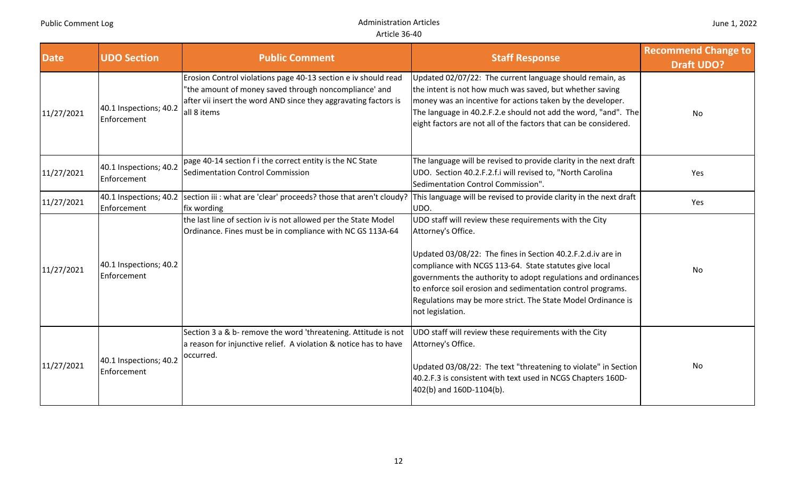**Administration Articles** Article 36‐40

| <b>Date</b> | <b>UDO Section</b>                    | <b>Public Comment</b>                                                                                                                                                                                     | <b>Staff Response</b>                                                                                                                                                                                                                                                                                                                                                                                                     | <b>Recommend Change to</b><br><b>Draft UDO?</b> |
|-------------|---------------------------------------|-----------------------------------------------------------------------------------------------------------------------------------------------------------------------------------------------------------|---------------------------------------------------------------------------------------------------------------------------------------------------------------------------------------------------------------------------------------------------------------------------------------------------------------------------------------------------------------------------------------------------------------------------|-------------------------------------------------|
| 11/27/2021  | 40.1 Inspections; 40.2<br>Enforcement | Erosion Control violations page 40-13 section e iv should read<br>"the amount of money saved through noncompliance' and<br>after vii insert the word AND since they aggravating factors is<br>all 8 items | Updated 02/07/22: The current language should remain, as<br>the intent is not how much was saved, but whether saving<br>money was an incentive for actions taken by the developer.<br>The language in 40.2.F.2.e should not add the word, "and". The<br>eight factors are not all of the factors that can be considered.                                                                                                  | <b>No</b>                                       |
| 11/27/2021  | 40.1 Inspections; 40.2<br>Enforcement | page 40-14 section f i the correct entity is the NC State<br>Sedimentation Control Commission                                                                                                             | The language will be revised to provide clarity in the next draft<br>UDO. Section 40.2.F.2.f.i will revised to, "North Carolina<br>Sedimentation Control Commission".                                                                                                                                                                                                                                                     | Yes                                             |
| 11/27/2021  | Enforcement                           | 40.1 Inspections; 40.2 section iii : what are 'clear' proceeds? those that aren't cloudy? This language will be revised to provide clarity in the next draft<br>fix wording                               | UDO.                                                                                                                                                                                                                                                                                                                                                                                                                      | Yes                                             |
| 11/27/2021  | 40.1 Inspections; 40.2<br>Enforcement | the last line of section iv is not allowed per the State Model<br>Ordinance. Fines must be in compliance with NC GS 113A-64                                                                               | UDO staff will review these requirements with the City<br>Attorney's Office.<br>Updated 03/08/22: The fines in Section 40.2.F.2.d.iv are in<br>compliance with NCGS 113-64. State statutes give local<br>governments the authority to adopt regulations and ordinances<br>to enforce soil erosion and sedimentation control programs.<br>Regulations may be more strict. The State Model Ordinance is<br>not legislation. | <b>No</b>                                       |
| 11/27/2021  | 40.1 Inspections; 40.2<br>Enforcement | Section 3 a & b- remove the word 'threatening. Attitude is not<br>a reason for injunctive relief. A violation & notice has to have<br>occurred.                                                           | UDO staff will review these requirements with the City<br>Attorney's Office.<br>Updated 03/08/22: The text "threatening to violate" in Section<br>40.2.F.3 is consistent with text used in NCGS Chapters 160D-<br>402(b) and 160D-1104(b).                                                                                                                                                                                | No                                              |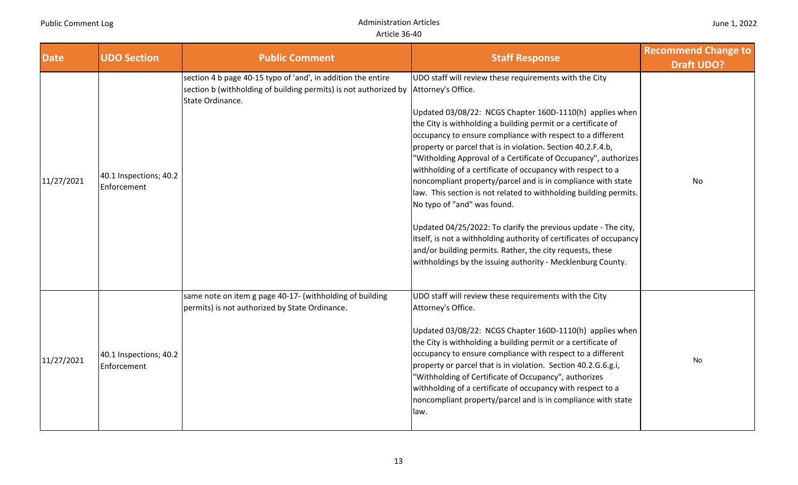| <b>Date</b> | <b>UDO Section</b>                    | <b>Public Comment</b>                                                                                                                                | <b>Staff Response</b>                                                                                                                                                                                                                                                                                                                                                                                                                                                                                                                                                                                                                                                                                                                                                                                                                                                                                              | <b>Recommend Change to</b><br><b>Draft UDO?</b> |
|-------------|---------------------------------------|------------------------------------------------------------------------------------------------------------------------------------------------------|--------------------------------------------------------------------------------------------------------------------------------------------------------------------------------------------------------------------------------------------------------------------------------------------------------------------------------------------------------------------------------------------------------------------------------------------------------------------------------------------------------------------------------------------------------------------------------------------------------------------------------------------------------------------------------------------------------------------------------------------------------------------------------------------------------------------------------------------------------------------------------------------------------------------|-------------------------------------------------|
| 11/27/2021  | 40.1 Inspections; 40.2<br>Enforcement | section 4 b page 40-15 typo of 'and', in addition the entire<br>section b (withholding of building permits) is not authorized by<br>State Ordinance. | UDO staff will review these requirements with the City<br>Attorney's Office.<br>Updated 03/08/22: NCGS Chapter 160D-1110(h) applies when<br>the City is withholding a building permit or a certificate of<br>occupancy to ensure compliance with respect to a different<br>property or parcel that is in violation. Section 40.2.F.4.b,<br>"Witholding Approval of a Certificate of Occupancy", authorizes<br>withholding of a certificate of occupancy with respect to a<br>noncompliant property/parcel and is in compliance with state<br>law. This section is not related to withholding building permits.<br>No typo of "and" was found.<br>Updated 04/25/2022: To clarify the previous update - The city,<br>itself, is not a withholding authority of certificates of occupancy<br>and/or building permits. Rather, the city requests, these<br>withholdings by the issuing authority - Mecklenburg County. | No                                              |
| 11/27/2021  | 40.1 Inspections; 40.2<br>Enforcement | same note on item g page 40-17- (withholding of building<br>permits) is not authorized by State Ordinance.                                           | UDO staff will review these requirements with the City<br>Attorney's Office.<br>Updated 03/08/22: NCGS Chapter 160D-1110(h) applies when<br>the City is withholding a building permit or a certificate of<br>occupancy to ensure compliance with respect to a different<br>property or parcel that is in violation. Section 40.2.G.6.g.i,<br>"Withholding of Certificate of Occupancy", authorizes<br>withholding of a certificate of occupancy with respect to a<br>noncompliant property/parcel and is in compliance with state<br>law.                                                                                                                                                                                                                                                                                                                                                                          | No                                              |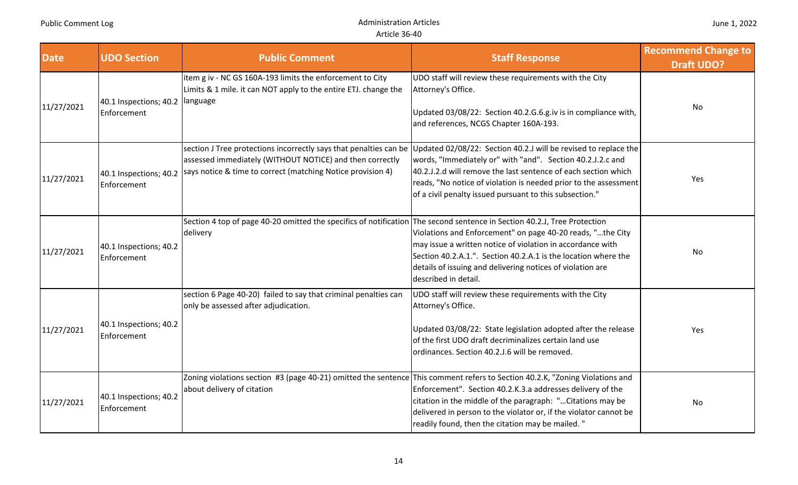| <b>Date</b> | <b>UDO Section</b>                               | <b>Public Comment</b>                                                                                                                                      | <b>Staff Response</b>                                                                                                                                                                                                                                                                                                                                                                            | <b>Recommend Change to</b><br><b>Draft UDO?</b> |
|-------------|--------------------------------------------------|------------------------------------------------------------------------------------------------------------------------------------------------------------|--------------------------------------------------------------------------------------------------------------------------------------------------------------------------------------------------------------------------------------------------------------------------------------------------------------------------------------------------------------------------------------------------|-------------------------------------------------|
| 11/27/2021  | 40.1 Inspections; 40.2   language<br>Enforcement | item g iv - NC GS 160A-193 limits the enforcement to City<br>Limits & 1 mile. it can NOT apply to the entire ETJ. change the                               | UDO staff will review these requirements with the City<br>Attorney's Office.<br>Updated 03/08/22: Section 40.2.G.6.g.iv is in compliance with,<br>and references, NCGS Chapter 160A-193.                                                                                                                                                                                                         | No                                              |
| 11/27/2021  | Enforcement                                      | assessed immediately (WITHOUT NOTICE) and then correctly<br>40.1 Inspections; 40.2   says notice & time to correct (matching Notice provision 4)           | section J Tree protections incorrectly says that penalties can be Updated 02/08/22: Section 40.2.J will be revised to replace the<br>words, "Immediately or" with "and". Section 40.2.J.2.c and<br>40.2.J.2.d will remove the last sentence of each section which<br>reads, "No notice of violation is needed prior to the assessment<br>of a civil penalty issued pursuant to this subsection." | Yes                                             |
| 11/27/2021  | 40.1 Inspections; 40.2<br>Enforcement            | Section 4 top of page 40-20 omitted the specifics of notification The second sentence in Section 40.2.J, Tree Protection<br>delivery                       | Violations and Enforcement" on page 40-20 reads, "the City<br>may issue a written notice of violation in accordance with<br>Section 40.2.A.1.". Section 40.2.A.1 is the location where the<br>details of issuing and delivering notices of violation are<br>described in detail.                                                                                                                 | No                                              |
| 11/27/2021  | 40.1 Inspections; 40.2<br>Enforcement            | section 6 Page 40-20) failed to say that criminal penalties can<br>only be assessed after adjudication.                                                    | UDO staff will review these requirements with the City<br>Attorney's Office.<br>Updated 03/08/22: State legislation adopted after the release<br>of the first UDO draft decriminalizes certain land use<br>ordinances. Section 40.2.J.6 will be removed.                                                                                                                                         | Yes                                             |
| 11/27/2021  | 40.1 Inspections; 40.2<br>Enforcement            | Zoning violations section #3 (page 40-21) omitted the sentence This comment refers to Section 40.2.K, "Zoning Violations and<br>about delivery of citation | Enforcement". Section 40.2.K.3.a addresses delivery of the<br>citation in the middle of the paragraph: " Citations may be<br>delivered in person to the violator or, if the violator cannot be<br>readily found, then the citation may be mailed."                                                                                                                                               | No                                              |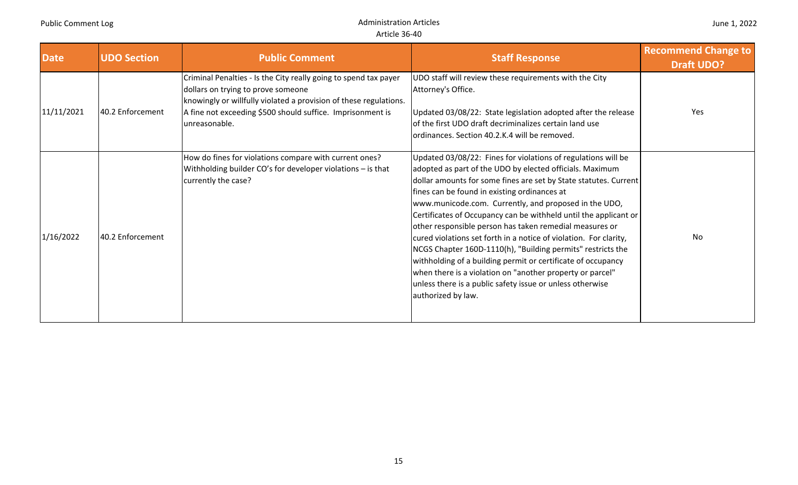| <b>Date</b> | <b>UDO Section</b> | <b>Public Comment</b>                                                                                                                                                                                                                                      | <b>Staff Response</b>                                                                                                                                                                                                                                                                                                                                                                                                                                                                                                                                                                                                                                                                                                                                                                     | <b>Recommend Change to</b><br><b>Draft UDO?</b> |
|-------------|--------------------|------------------------------------------------------------------------------------------------------------------------------------------------------------------------------------------------------------------------------------------------------------|-------------------------------------------------------------------------------------------------------------------------------------------------------------------------------------------------------------------------------------------------------------------------------------------------------------------------------------------------------------------------------------------------------------------------------------------------------------------------------------------------------------------------------------------------------------------------------------------------------------------------------------------------------------------------------------------------------------------------------------------------------------------------------------------|-------------------------------------------------|
| 11/11/2021  | 40.2 Enforcement   | Criminal Penalties - Is the City really going to spend tax payer<br>dollars on trying to prove someone<br>knowingly or willfully violated a provision of these regulations.<br>A fine not exceeding \$500 should suffice. Imprisonment is<br>unreasonable. | UDO staff will review these requirements with the City<br>Attorney's Office.<br>Updated 03/08/22: State legislation adopted after the release<br>of the first UDO draft decriminalizes certain land use<br>ordinances. Section 40.2.K.4 will be removed.                                                                                                                                                                                                                                                                                                                                                                                                                                                                                                                                  | Yes                                             |
| 1/16/2022   | 40.2 Enforcement   | How do fines for violations compare with current ones?<br>Withholding builder CO's for developer violations - is that<br>currently the case?                                                                                                               | Updated 03/08/22: Fines for violations of regulations will be<br>adopted as part of the UDO by elected officials. Maximum<br>dollar amounts for some fines are set by State statutes. Current<br>fines can be found in existing ordinances at<br>www.municode.com. Currently, and proposed in the UDO,<br>Certificates of Occupancy can be withheld until the applicant or<br>other responsible person has taken remedial measures or<br>cured violations set forth in a notice of violation. For clarity,<br>NCGS Chapter 160D-1110(h), "Building permits" restricts the<br>withholding of a building permit or certificate of occupancy<br>when there is a violation on "another property or parcel"<br>unless there is a public safety issue or unless otherwise<br>authorized by law. | No                                              |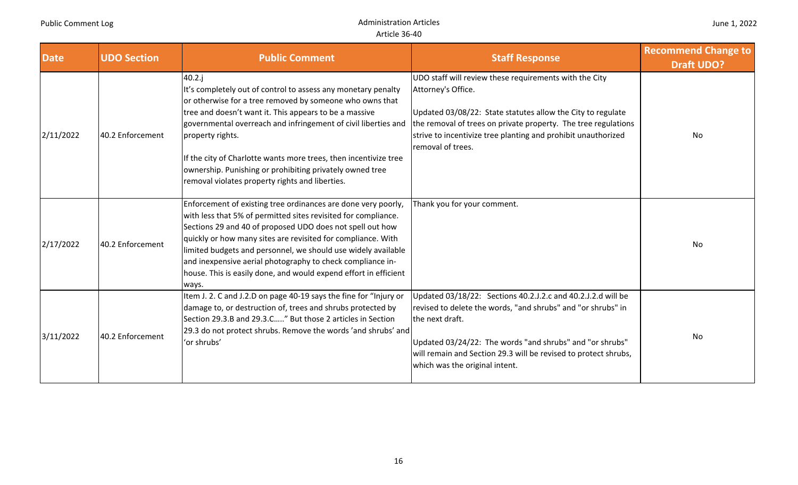| <b>Date</b> | <b>UDO Section</b> | <b>Public Comment</b>                                                                                                                                                                                                                                                                                                                                                                                                                                                     | <b>Staff Response</b>                                                                                                                                                                                                                                                                                            | <b>Recommend Change to</b><br><b>Draft UDO?</b> |
|-------------|--------------------|---------------------------------------------------------------------------------------------------------------------------------------------------------------------------------------------------------------------------------------------------------------------------------------------------------------------------------------------------------------------------------------------------------------------------------------------------------------------------|------------------------------------------------------------------------------------------------------------------------------------------------------------------------------------------------------------------------------------------------------------------------------------------------------------------|-------------------------------------------------|
| 2/11/2022   | 40.2 Enforcement   | $40.2$ .j<br>It's completely out of control to assess any monetary penalty<br>or otherwise for a tree removed by someone who owns that<br>tree and doesn't want it. This appears to be a massive<br>governmental overreach and infringement of civil liberties and<br>property rights.<br>If the city of Charlotte wants more trees, then incentivize tree<br>ownership. Punishing or prohibiting privately owned tree<br>removal violates property rights and liberties. | UDO staff will review these requirements with the City<br>Attorney's Office.<br>Updated 03/08/22: State statutes allow the City to regulate<br>the removal of trees on private property. The tree regulations<br>strive to incentivize tree planting and prohibit unauthorized<br>removal of trees.              | No                                              |
| 2/17/2022   | 40.2 Enforcement   | Enforcement of existing tree ordinances are done very poorly,<br>with less that 5% of permitted sites revisited for compliance.<br>Sections 29 and 40 of proposed UDO does not spell out how<br>quickly or how many sites are revisited for compliance. With<br>limited budgets and personnel, we should use widely available<br>and inexpensive aerial photography to check compliance in-<br>house. This is easily done, and would expend effort in efficient<br>ways.  | Thank you for your comment.                                                                                                                                                                                                                                                                                      | No                                              |
| 3/11/2022   | 40.2 Enforcement   | Item J. 2. C and J.2.D on page 40-19 says the fine for "Injury or<br>damage to, or destruction of, trees and shrubs protected by<br>Section 29.3.B and 29.3.C" But those 2 articles in Section<br>[29.3 do not protect shrubs. Remove the words 'and shrubs' and<br>'or shrubs'                                                                                                                                                                                           | Updated 03/18/22: Sections 40.2.J.2.c and 40.2.J.2.d will be<br>revised to delete the words, "and shrubs" and "or shrubs" in<br>the next draft.<br>Updated 03/24/22: The words "and shrubs" and "or shrubs"<br>will remain and Section 29.3 will be revised to protect shrubs,<br>which was the original intent. | No                                              |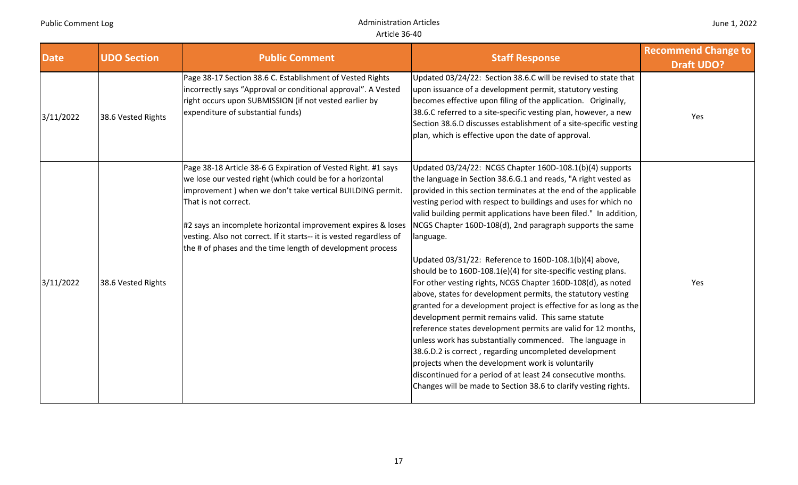| <b>Date</b> | <b>UDO Section</b> | <b>Public Comment</b>                                                                                                                                                                                                                                                                                                                                                                                                 | <b>Staff Response</b>                                                                                                                                                                                                                                                                                                                                                                                                                                                                                                                                                                                                                                                                                                                                                                                                                                                                                                                                                                                                                                                                                                                                                                  | <b>Recommend Change to</b><br><b>Draft UDO?</b> |
|-------------|--------------------|-----------------------------------------------------------------------------------------------------------------------------------------------------------------------------------------------------------------------------------------------------------------------------------------------------------------------------------------------------------------------------------------------------------------------|----------------------------------------------------------------------------------------------------------------------------------------------------------------------------------------------------------------------------------------------------------------------------------------------------------------------------------------------------------------------------------------------------------------------------------------------------------------------------------------------------------------------------------------------------------------------------------------------------------------------------------------------------------------------------------------------------------------------------------------------------------------------------------------------------------------------------------------------------------------------------------------------------------------------------------------------------------------------------------------------------------------------------------------------------------------------------------------------------------------------------------------------------------------------------------------|-------------------------------------------------|
| 3/11/2022   | 38.6 Vested Rights | Page 38-17 Section 38.6 C. Establishment of Vested Rights<br>incorrectly says "Approval or conditional approval". A Vested<br>right occurs upon SUBMISSION (if not vested earlier by<br>expenditure of substantial funds)                                                                                                                                                                                             | Updated 03/24/22: Section 38.6.C will be revised to state that<br>upon issuance of a development permit, statutory vesting<br>becomes effective upon filing of the application. Originally,<br>38.6.C referred to a site-specific vesting plan, however, a new<br>Section 38.6.D discusses establishment of a site-specific vesting<br>plan, which is effective upon the date of approval.                                                                                                                                                                                                                                                                                                                                                                                                                                                                                                                                                                                                                                                                                                                                                                                             | Yes                                             |
| 3/11/2022   | 38.6 Vested Rights | Page 38-18 Article 38-6 G Expiration of Vested Right. #1 says<br>we lose our vested right (which could be for a horizontal<br>improvement) when we don't take vertical BUILDING permit.<br>That is not correct.<br>#2 says an incomplete horizontal improvement expires & loses<br>vesting. Also not correct. If it starts-- it is vested regardless of<br>the # of phases and the time length of development process | Updated 03/24/22: NCGS Chapter 160D-108.1(b)(4) supports<br>the language in Section 38.6.G.1 and reads, "A right vested as<br>provided in this section terminates at the end of the applicable<br>vesting period with respect to buildings and uses for which no<br>valid building permit applications have been filed." In addition,<br>NCGS Chapter 160D-108(d), 2nd paragraph supports the same<br>language.<br>Updated 03/31/22: Reference to 160D-108.1(b)(4) above,<br>should be to 160D-108.1(e)(4) for site-specific vesting plans.<br>For other vesting rights, NCGS Chapter 160D-108(d), as noted<br>above, states for development permits, the statutory vesting<br>granted for a development project is effective for as long as the<br>development permit remains valid. This same statute<br>reference states development permits are valid for 12 months,<br>unless work has substantially commenced. The language in<br>38.6.D.2 is correct, regarding uncompleted development<br>projects when the development work is voluntarily<br>discontinued for a period of at least 24 consecutive months.<br>Changes will be made to Section 38.6 to clarify vesting rights. | Yes                                             |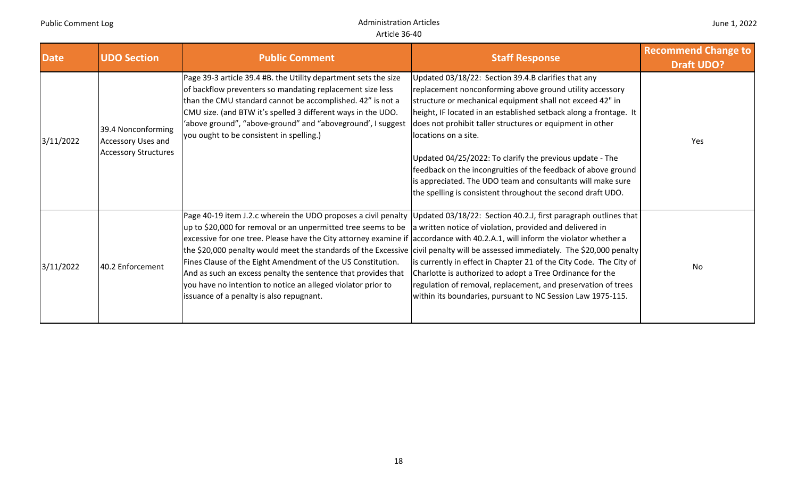| <b>Date</b> | <b>UDO Section</b>                                                      | <b>Public Comment</b>                                                                                                                                                                                                                                                                                                                                                                                                                                                                                        | <b>Staff Response</b>                                                                                                                                                                                                                                                                                                                                                                                                                                                                                                                                                                             | <b>Recommend Change to</b><br><b>Draft UDO?</b> |
|-------------|-------------------------------------------------------------------------|--------------------------------------------------------------------------------------------------------------------------------------------------------------------------------------------------------------------------------------------------------------------------------------------------------------------------------------------------------------------------------------------------------------------------------------------------------------------------------------------------------------|---------------------------------------------------------------------------------------------------------------------------------------------------------------------------------------------------------------------------------------------------------------------------------------------------------------------------------------------------------------------------------------------------------------------------------------------------------------------------------------------------------------------------------------------------------------------------------------------------|-------------------------------------------------|
| 3/11/2022   | 39.4 Nonconforming<br>Accessory Uses and<br><b>Accessory Structures</b> | Page 39-3 article 39.4 #B. the Utility department sets the size<br>of backflow preventers so mandating replacement size less<br>than the CMU standard cannot be accomplished. 42" is not a<br>CMU size. (and BTW it's spelled 3 different ways in the UDO.<br>'above ground", "above-ground" and "aboveground', I suggest<br>you ought to be consistent in spelling.)                                                                                                                                        | Updated 03/18/22: Section 39.4.B clarifies that any<br>replacement nonconforming above ground utility accessory<br>structure or mechanical equipment shall not exceed 42" in<br>height, IF located in an established setback along a frontage. It<br>does not prohibit taller structures or equipment in other<br>locations on a site.<br>Updated 04/25/2022: To clarify the previous update - The<br>feedback on the incongruities of the feedback of above ground<br>is appreciated. The UDO team and consultants will make sure<br>the spelling is consistent throughout the second draft UDO. | Yes                                             |
| 3/11/2022   | 40.2 Enforcement                                                        | $\mu$ p to \$20,000 for removal or an unpermitted tree seems to be $\mu$ written notice of violation, provided and delivered in<br>excessive for one tree. Please have the City attorney examine if accordance with 40.2.A.1, will inform the violator whether a<br>Fines Clause of the Eight Amendment of the US Constitution.<br>And as such an excess penalty the sentence that provides that<br>you have no intention to notice an alleged violator prior to<br>issuance of a penalty is also repugnant. | Page 40-19 item J.2.c wherein the UDO proposes a civil penalty Updated 03/18/22: Section 40.2.J, first paragraph outlines that<br>the \$20,000 penalty would meet the standards of the Excessive civil penalty will be assessed immediately. The \$20,000 penalty<br>is currently in effect in Chapter 21 of the City Code. The City of<br>Charlotte is authorized to adopt a Tree Ordinance for the<br>regulation of removal, replacement, and preservation of trees<br>within its boundaries, pursuant to NC Session Law 1975-115.                                                              | <b>No</b>                                       |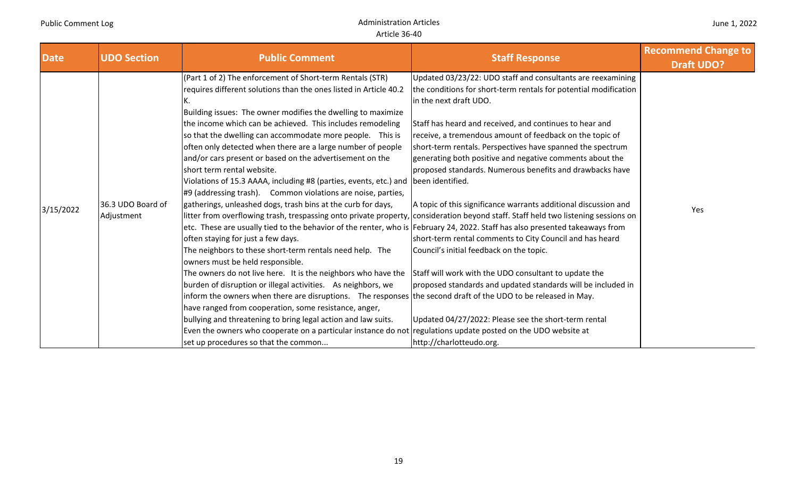| <b>Date</b> | <b>UDO Section</b>              | <b>Public Comment</b>                                                                                                                                                                                                                                                                                                                                                                                                                                                                                                                                                                                                                                                                                                                                                                                                                                                                                                                                                                                                                                                                                                                                                                                                                                                                                                                                                                                                                                                                                                                                                                 | <b>Staff Response</b>                                                                                                                                                                                                                                                                                                                                                                                                                                                                                                                                                                                                                                                                                                                                                                                                                                                                                                                       | <b>Recommend Change to</b><br><b>Draft UDO?</b> |
|-------------|---------------------------------|---------------------------------------------------------------------------------------------------------------------------------------------------------------------------------------------------------------------------------------------------------------------------------------------------------------------------------------------------------------------------------------------------------------------------------------------------------------------------------------------------------------------------------------------------------------------------------------------------------------------------------------------------------------------------------------------------------------------------------------------------------------------------------------------------------------------------------------------------------------------------------------------------------------------------------------------------------------------------------------------------------------------------------------------------------------------------------------------------------------------------------------------------------------------------------------------------------------------------------------------------------------------------------------------------------------------------------------------------------------------------------------------------------------------------------------------------------------------------------------------------------------------------------------------------------------------------------------|---------------------------------------------------------------------------------------------------------------------------------------------------------------------------------------------------------------------------------------------------------------------------------------------------------------------------------------------------------------------------------------------------------------------------------------------------------------------------------------------------------------------------------------------------------------------------------------------------------------------------------------------------------------------------------------------------------------------------------------------------------------------------------------------------------------------------------------------------------------------------------------------------------------------------------------------|-------------------------------------------------|
| 3/15/2022   | 36.3 UDO Board of<br>Adjustment | (Part 1 of 2) The enforcement of Short-term Rentals (STR)<br>requires different solutions than the ones listed in Article 40.2<br>к.<br>Building issues: The owner modifies the dwelling to maximize<br>the income which can be achieved. This includes remodeling<br>so that the dwelling can accommodate more people. This is<br>often only detected when there are a large number of people<br>and/or cars present or based on the advertisement on the<br>short term rental website.<br>Violations of 15.3 AAAA, including #8 (parties, events, etc.) and   been identified.<br>$\#9$ (addressing trash). Common violations are noise, parties,<br>gatherings, unleashed dogs, trash bins at the curb for days,<br>etc. These are usually tied to the behavior of the renter, who is February 24, 2022. Staff has also presented takeaways from<br>often staying for just a few days.<br>The neighbors to these short-term rentals need help. The<br>owners must be held responsible.<br>The owners do not live here. It is the neighbors who have the Staff will work with the UDO consultant to update the<br>burden of disruption or illegal activities. As neighbors, we<br>inform the owners when there are disruptions. The responses the second draft of the UDO to be released in May.<br>have ranged from cooperation, some resistance, anger,<br>bullying and threatening to bring legal action and law suits.<br>Even the owners who cooperate on a particular instance do not regulations update posted on the UDO website at<br>set up procedures so that the common | Updated 03/23/22: UDO staff and consultants are reexamining<br>the conditions for short-term rentals for potential modification<br>in the next draft UDO.<br>Staff has heard and received, and continues to hear and<br>receive, a tremendous amount of feedback on the topic of<br>short-term rentals. Perspectives have spanned the spectrum<br>generating both positive and negative comments about the<br>proposed standards. Numerous benefits and drawbacks have<br>A topic of this significance warrants additional discussion and<br>litter from overflowing trash, trespassing onto private property, consideration beyond staff. Staff held two listening sessions on<br>short-term rental comments to City Council and has heard<br>Council's initial feedback on the topic.<br>proposed standards and updated standards will be included in<br>Updated 04/27/2022: Please see the short-term rental<br>http://charlotteudo.org. | Yes                                             |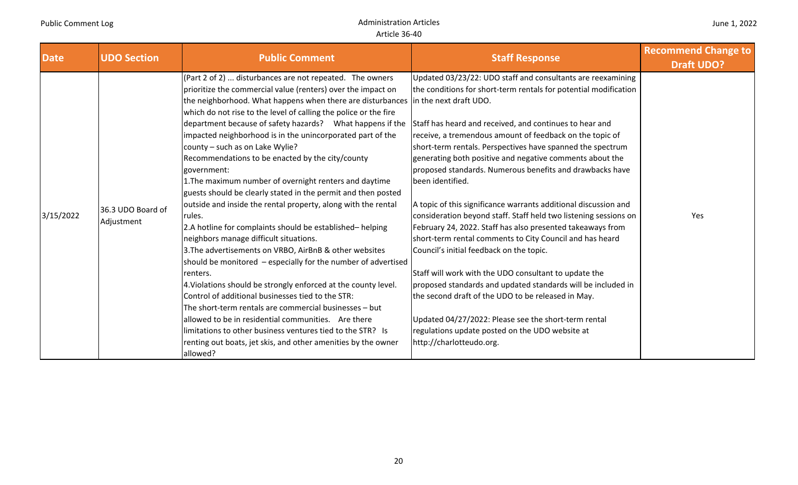| <b>Date</b> | <b>UDO Section</b>              | <b>Public Comment</b>                                                                                                                                                                                                                                                                                                                                                                                                                                                                                                                                                                                                                                                                                                                                                                                                                                                                                                                                                                                                                                                                                                                                                                                                                                                                                                                                                                                              | <b>Staff Response</b>                                                                                                                                                                                                                                                                                                                                                                                                                                                                                                                                                                                                                                                                                                                                                                                                                                                                                                                                                                                                                    | <b>Recommend Change to</b><br><b>Draft UDO?</b> |
|-------------|---------------------------------|--------------------------------------------------------------------------------------------------------------------------------------------------------------------------------------------------------------------------------------------------------------------------------------------------------------------------------------------------------------------------------------------------------------------------------------------------------------------------------------------------------------------------------------------------------------------------------------------------------------------------------------------------------------------------------------------------------------------------------------------------------------------------------------------------------------------------------------------------------------------------------------------------------------------------------------------------------------------------------------------------------------------------------------------------------------------------------------------------------------------------------------------------------------------------------------------------------------------------------------------------------------------------------------------------------------------------------------------------------------------------------------------------------------------|------------------------------------------------------------------------------------------------------------------------------------------------------------------------------------------------------------------------------------------------------------------------------------------------------------------------------------------------------------------------------------------------------------------------------------------------------------------------------------------------------------------------------------------------------------------------------------------------------------------------------------------------------------------------------------------------------------------------------------------------------------------------------------------------------------------------------------------------------------------------------------------------------------------------------------------------------------------------------------------------------------------------------------------|-------------------------------------------------|
| 3/15/2022   | 36.3 UDO Board of<br>Adjustment | $(Part 2 of 2)$ disturbances are not repeated. The owners<br>prioritize the commercial value (renters) over the impact on<br>the neighborhood. What happens when there are disturbances in the next draft UDO.<br>which do not rise to the level of calling the police or the fire<br>department because of safety hazards? What happens if the Staff has heard and received, and continues to hear and<br>impacted neighborhood is in the unincorporated part of the<br>county - such as on Lake Wylie?<br>Recommendations to be enacted by the city/county<br>government:<br>1. The maximum number of overnight renters and daytime<br>guests should be clearly stated in the permit and then posted<br>outside and inside the rental property, along with the rental<br>rules.<br>2.A hotline for complaints should be established-helping<br>neighbors manage difficult situations.<br>3. The advertisements on VRBO, AirBnB & other websites<br>should be monitored – especially for the number of advertised<br>renters.<br>4. Violations should be strongly enforced at the county level.<br>Control of additional businesses tied to the STR:<br>The short-term rentals are commercial businesses - but<br>allowed to be in residential communities. Are there<br>llimitations to other business ventures tied to the STR? Is<br>renting out boats, jet skis, and other amenities by the owner<br>allowed? | Updated 03/23/22: UDO staff and consultants are reexamining<br>the conditions for short-term rentals for potential modification<br>receive, a tremendous amount of feedback on the topic of<br>short-term rentals. Perspectives have spanned the spectrum<br>generating both positive and negative comments about the<br>proposed standards. Numerous benefits and drawbacks have<br>been identified.<br>A topic of this significance warrants additional discussion and<br>consideration beyond staff. Staff held two listening sessions on<br>February 24, 2022. Staff has also presented takeaways from<br>short-term rental comments to City Council and has heard<br>Council's initial feedback on the topic.<br>Staff will work with the UDO consultant to update the<br>proposed standards and updated standards will be included in<br>the second draft of the UDO to be released in May.<br>Updated 04/27/2022: Please see the short-term rental<br>regulations update posted on the UDO website at<br>http://charlotteudo.org. | Yes                                             |